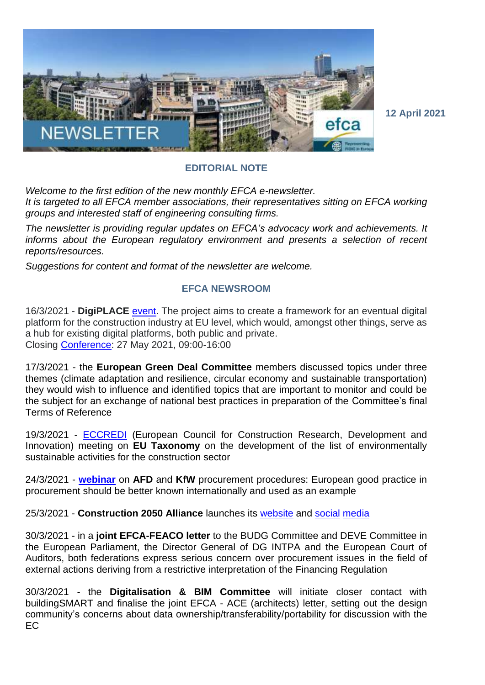

**12 April 2021**

## **EDITORIAL NOTE**

*Welcome to the first edition of the new monthly EFCA e-newsletter. It is targeted to all EFCA member associations, their representatives sitting on EFCA working groups and interested staff of engineering consulting firms.*

*The newsletter is providing regular updates on EFCA's advocacy work and achievements. It informs about the European regulatory environment and presents a selection of recent reports/resources.*

*Suggestions for content and format of the newsletter are welcome.*

## **EFCA NEWSROOM**

16/3/2021 - **DigiPLACE** [event.](https://digiplaceproject.eu/news) The project aims to create a framework for an eventual digital platform for the construction industry at EU level, which would, amongst other things, serve as a hub for existing digital platforms, both public and private. Closing [Conference:](https://docs.google.com/forms/d/e/1FAIpQLSdkC5oRXTGLWLwGQo_dMtr9UDZKP5nicj3JCfQ5KDJy0NABKg/viewform?vc=0&c=0&w=1&flr=0) 27 May 2021, 09:00-16:00

17/3/2021 - the **European Green Deal Committee** members discussed topics under three themes (climate adaptation and resilience, circular economy and sustainable transportation) they would wish to influence and identified topics that are important to monitor and could be the subject for an exchange of national best practices in preparation of the Committee's final Terms of Reference

19/3/2021 - [ECCREDI](https://www.eccredi.org/) (European Council for Construction Research, Development and Innovation) meeting on **EU Taxonomy** on the development of the list of environmentally sustainable activities for the construction sector

24/3/2021 - **[webinar](https://www.efcanet.org/news/efca-webinar-kfw-and-afd-procurement-procedures)** on **AFD** and **KfW** procurement procedures: European good practice in procurement should be better known internationally and used as an example

25/3/2021 - **Construction 2050 Alliance** launches its [website](https://euconstruction2050.eu/) and [social](https://twitter.com/ConstructEU2050) [media](https://www.linkedin.com/company/construction-2050-alliance/)

30/3/2021 - in a **joint EFCA-FEACO letter** to the BUDG Committee and DEVE Committee in the European Parliament, the Director General of DG INTPA and the European Court of Auditors, both federations express serious concern over procurement issues in the field of external actions deriving from a restrictive interpretation of the Financing Regulation

30/3/2021 - the **Digitalisation & BIM Committee** will initiate closer contact with buildingSMART and finalise the joint EFCA - ACE (architects) letter, setting out the design community's concerns about data ownership/transferability/portability for discussion with the EC